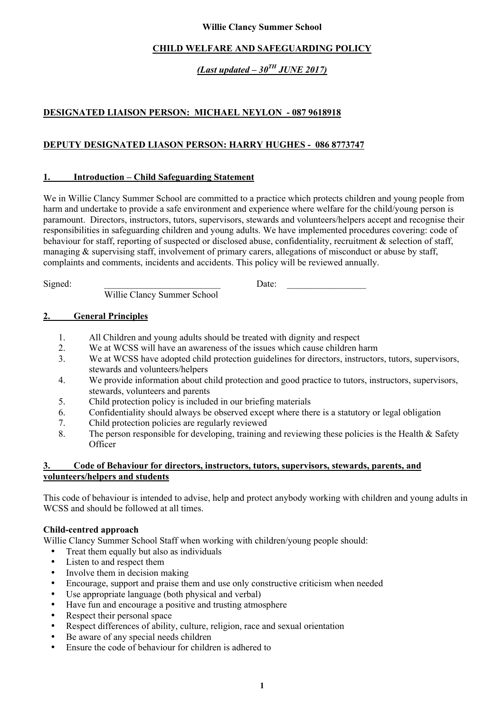### **Willie Clancy Summer School**

## **CHILD WELFARE AND SAFEGUARDING POLICY**

# *(Last updated – 30TH JUNE 2017)*

# **DESIGNATED LIAISON PERSON: MICHAEL NEYLON - 087 9618918**

## **DEPUTY DESIGNATED LIASON PERSON: HARRY HUGHES - 086 8773747**

#### **1. Introduction – Child Safeguarding Statement**

We in Willie Clancy Summer School are committed to a practice which protects children and young people from harm and undertake to provide a safe environment and experience where welfare for the child/young person is paramount. Directors, instructors, tutors, supervisors, stewards and volunteers/helpers accept and recognise their responsibilities in safeguarding children and young adults. We have implemented procedures covering: code of behaviour for staff, reporting of suspected or disclosed abuse, confidentiality, recruitment & selection of staff, managing & supervising staff, involvement of primary carers, allegations of misconduct or abuse by staff, complaints and comments, incidents and accidents. This policy will be reviewed annually.

Willie Clancy Summer School

Signed:  $Date:$ 

## **2. General Principles**

- 1. All Children and young adults should be treated with dignity and respect
- 2. We at WCSS will have an awareness of the issues which cause children harm
- 3. We at WCSS have adopted child protection guidelines for directors, instructors, tutors, supervisors, stewards and volunteers/helpers
- 4. We provide information about child protection and good practice to tutors, instructors, supervisors, stewards, volunteers and parents
- 5. Child protection policy is included in our briefing materials
- 6. Confidentiality should always be observed except where there is a statutory or legal obligation
- 7. Child protection policies are regularly reviewed
- 8. The person responsible for developing, training and reviewing these policies is the Health & Safety **Officer**

#### **3. Code of Behaviour for directors, instructors, tutors, supervisors, stewards, parents, and volunteers/helpers and students**

This code of behaviour is intended to advise, help and protect anybody working with children and young adults in WCSS and should be followed at all times.

## **Child-centred approach**

Willie Clancy Summer School Staff when working with children/young people should:

- Treat them equally but also as individuals<br>• Listen to and respect them
- Listen to and respect them
- Involve them in decision making
- Encourage, support and praise them and use only constructive criticism when needed
- Use appropriate language (both physical and verbal)
- Have fun and encourage a positive and trusting atmosphere
- Respect their personal space
- Respect differences of ability, culture, religion, race and sexual orientation
- Be aware of any special needs children
- Ensure the code of behaviour for children is adhered to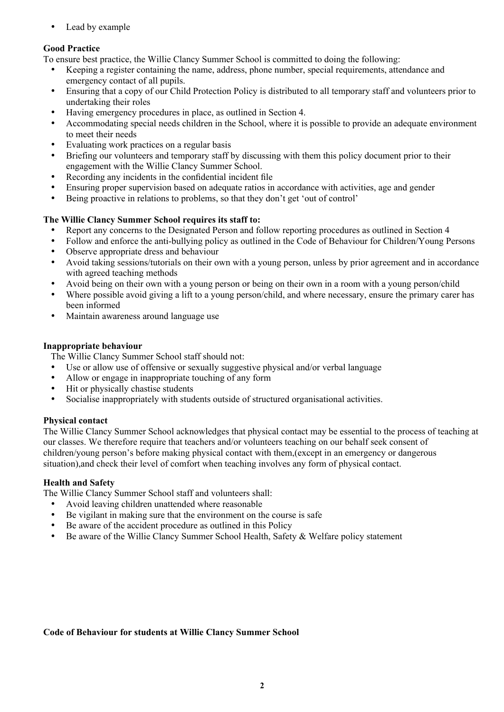• Lead by example

# **Good Practice**

To ensure best practice, the Willie Clancy Summer School is committed to doing the following:

- Keeping a register containing the name, address, phone number, special requirements, attendance and emergency contact of all pupils.
- Ensuring that a copy of our Child Protection Policy is distributed to all temporary staff and volunteers prior to undertaking their roles
- Having emergency procedures in place, as outlined in Section 4.
- Accommodating special needs children in the School, where it is possible to provide an adequate environment to meet their needs
- Evaluating work practices on a regular basis<br>• Briefing our volunteers and temporary staff is
- Briefing our volunteers and temporary staff by discussing with them this policy document prior to their engagement with the Willie Clancy Summer School.
- Recording any incidents in the confidential incident file
- Ensuring proper supervision based on adequate ratios in accordance with activities, age and gender
- Being proactive in relations to problems, so that they don't get 'out of control'

# **The Willie Clancy Summer School requires its staff to:**

- Report any concerns to the Designated Person and follow reporting procedures as outlined in Section 4
- Follow and enforce the anti-bullying policy as outlined in the Code of Behaviour for Children/Young Persons
- Observe appropriate dress and behaviour
- Avoid taking sessions/tutorials on their own with a young person, unless by prior agreement and in accordance with agreed teaching methods
- Avoid being on their own with a young person or being on their own in a room with a young person/child
- Where possible avoid giving a lift to a young person/child, and where necessary, ensure the primary carer has been informed
- Maintain awareness around language use

# **Inappropriate behaviour**

The Willie Clancy Summer School staff should not:

- Use or allow use of offensive or sexually suggestive physical and/or verbal language
- Allow or engage in inappropriate touching of any form
- Hit or physically chastise students
- Socialise inappropriately with students outside of structured organisational activities.

# **Physical contact**

The Willie Clancy Summer School acknowledges that physical contact may be essential to the process of teaching at our classes. We therefore require that teachers and/or volunteers teaching on our behalf seek consent of children/young person's before making physical contact with them,(except in an emergency or dangerous situation),and check their level of comfort when teaching involves any form of physical contact.

# **Health and Safety**

The Willie Clancy Summer School staff and volunteers shall:

- Avoid leaving children unattended where reasonable
- Be vigilant in making sure that the environment on the course is safe
- Be aware of the accident procedure as outlined in this Policy
- Be aware of the Willie Clancy Summer School Health, Safety & Welfare policy statement

## **Code of Behaviour for students at Willie Clancy Summer School**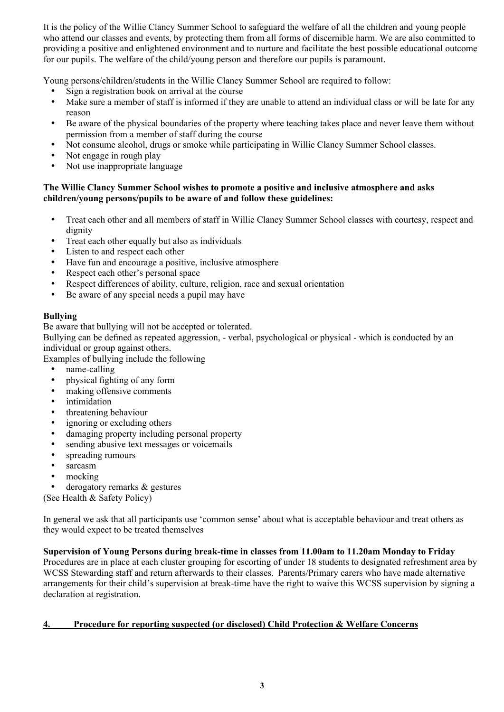It is the policy of the Willie Clancy Summer School to safeguard the welfare of all the children and young people who attend our classes and events, by protecting them from all forms of discernible harm. We are also committed to providing a positive and enlightened environment and to nurture and facilitate the best possible educational outcome for our pupils. The welfare of the child/young person and therefore our pupils is paramount.

Young persons/children/students in the Willie Clancy Summer School are required to follow:

- Sign a registration book on arrival at the course
- Make sure a member of staff is informed if they are unable to attend an individual class or will be late for any reason
- Be aware of the physical boundaries of the property where teaching takes place and never leave them without permission from a member of staff during the course
- Not consume alcohol, drugs or smoke while participating in Willie Clancy Summer School classes.
- Not engage in rough play
- Not use inappropriate language

## **The Willie Clancy Summer School wishes to promote a positive and inclusive atmosphere and asks children/young persons/pupils to be aware of and follow these guidelines:**

- Treat each other and all members of staff in Willie Clancy Summer School classes with courtesy, respect and dignity
- Treat each other equally but also as individuals
- Listen to and respect each other
- Have fun and encourage a positive, inclusive atmosphere
- Respect each other's personal space
- Respect differences of ability, culture, religion, race and sexual orientation<br>• Be aware of any special needs a nunil may have
- Be aware of any special needs a pupil may have

# **Bullying**

Be aware that bullying will not be accepted or tolerated.

Bullying can be defined as repeated aggression, - verbal, psychological or physical - which is conducted by an individual or group against others.

Examples of bullying include the following

- name-calling
- physical fighting of any form<br>• making offensive comments
- making offensive comments
- *intimidation*
- threatening behaviour
- ignoring or excluding others
- damaging property including personal property
- sending abusive text messages or voicemails
- spreading rumours
- sarcasm
- mocking
- derogatory remarks & gestures

(See Health & Safety Policy)

In general we ask that all participants use 'common sense' about what is acceptable behaviour and treat others as they would expect to be treated themselves

## **Supervision of Young Persons during break-time in classes from 11.00am to 11.20am Monday to Friday**

Procedures are in place at each cluster grouping for escorting of under 18 students to designated refreshment area by WCSS Stewarding staff and return afterwards to their classes. Parents/Primary carers who have made alternative arrangements for their child's supervision at break-time have the right to waive this WCSS supervision by signing a declaration at registration.

## **4. Procedure for reporting suspected (or disclosed) Child Protection & Welfare Concerns**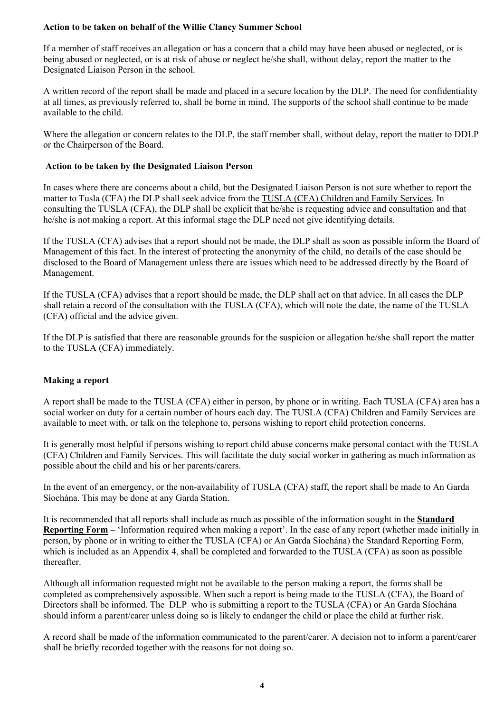### **Action to be taken on behalf of the Willie Clancy Summer School**

If a member of staff receives an allegation or has a concern that a child may have been abused or neglected, or is being abused or neglected, or is at risk of abuse or neglect he/she shall, without delay, report the matter to the Designated Liaison Person in the school.

A written record of the report shall be made and placed in a secure location by the DLP. The need for confidentiality at all times, as previously referred to, shall be borne in mind. The supports of the school shall continue to be made available to the child.

Where the allegation or concern relates to the DLP, the staff member shall, without delay, report the matter to DDLP or the Chairperson of the Board.

#### **Action to be taken by the Designated Liaison Person**

In cases where there are concerns about a child, but the Designated Liaison Person is not sure whether to report the matter to Tusla (CFA) the DLP shall seek advice from the TUSLA (CFA) Children and Family Services. In consulting the TUSLA (CFA), the DLP shall be explicit that he/she is requesting advice and consultation and that he/she is not making a report. At this informal stage the DLP need not give identifying details.

If the TUSLA (CFA) advises that a report should not be made, the DLP shall as soon as possible inform the Board of Management of this fact. In the interest of protecting the anonymity of the child, no details of the case should be disclosed to the Board of Management unless there are issues which need to be addressed directly by the Board of Management.

If the TUSLA (CFA) advises that a report should be made, the DLP shall act on that advice. In all cases the DLP shall retain a record of the consultation with the TUSLA (CFA), which will note the date, the name of the TUSLA (CFA) official and the advice given.

If the DLP is satisfied that there are reasonable grounds for the suspicion or allegation he/she shall report the matter to the TUSLA (CFA) immediately.

## **Making a report**

A report shall be made to the TUSLA (CFA) either in person, by phone or in writing. Each TUSLA (CFA) area has a social worker on duty for a certain number of hours each day. The TUSLA (CFA) Children and Family Services are available to meet with, or talk on the telephone to, persons wishing to report child protection concerns.

It is generally most helpful if persons wishing to report child abuse concerns make personal contact with the TUSLA (CFA) Children and Family Services. This will facilitate the duty social worker in gathering as much information as possible about the child and his or her parents/carers.

In the event of an emergency, or the non-availability of TUSLA (CFA) staff, the report shall be made to An Garda Síochána. This may be done at any Garda Station.

It is recommended that all reports shall include as much as possible of the information sought in the **Standard Reporting Form** – 'Information required when making a report'. In the case of any report (whether made initially in person, by phone or in writing to either the TUSLA (CFA) or An Garda Síochána) the Standard Reporting Form, which is included as an Appendix 4, shall be completed and forwarded to the TUSLA (CFA) as soon as possible thereafter.

Although all information requested might not be available to the person making a report, the forms shall be completed as comprehensively aspossible. When such a report is being made to the TUSLA (CFA), the Board of Directors shall be informed. The DLP who is submitting a report to the TUSLA (CFA) or An Garda Síochána should inform a parent/carer unless doing so is likely to endanger the child or place the child at further risk.

A record shall be made of the information communicated to the parent/carer. A decision not to inform a parent/carer shall be briefly recorded together with the reasons for not doing so.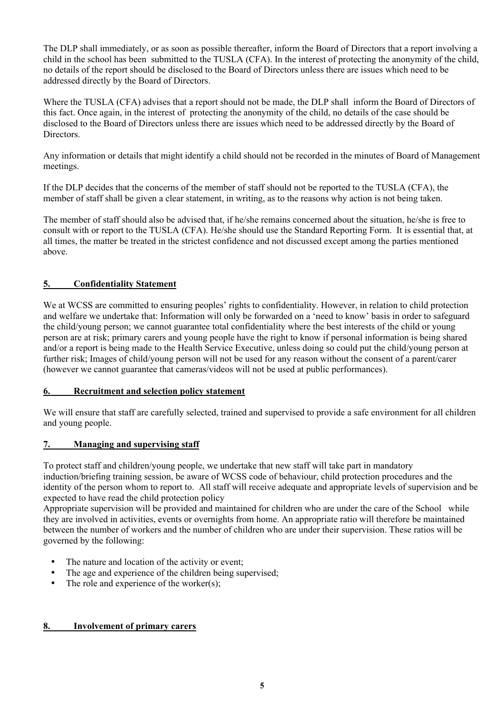The DLP shall immediately, or as soon as possible thereafter, inform the Board of Directors that a report involving a child in the school has been submitted to the TUSLA (CFA). In the interest of protecting the anonymity of the child, no details of the report should be disclosed to the Board of Directors unless there are issues which need to be addressed directly by the Board of Directors.

Where the TUSLA (CFA) advises that a report should not be made, the DLP shall inform the Board of Directors of this fact. Once again, in the interest of protecting the anonymity of the child, no details of the case should be disclosed to the Board of Directors unless there are issues which need to be addressed directly by the Board of **Directors** 

Any information or details that might identify a child should not be recorded in the minutes of Board of Management meetings.

If the DLP decides that the concerns of the member of staff should not be reported to the TUSLA (CFA), the member of staff shall be given a clear statement, in writing, as to the reasons why action is not being taken.

The member of staff should also be advised that, if he/she remains concerned about the situation, he/she is free to consult with or report to the TUSLA (CFA). He/she should use the Standard Reporting Form. It is essential that, at all times, the matter be treated in the strictest confidence and not discussed except among the parties mentioned above.

# **5. Confidentiality Statement**

We at WCSS are committed to ensuring peoples' rights to confidentiality. However, in relation to child protection and welfare we undertake that: Information will only be forwarded on a 'need to know' basis in order to safeguard the child/young person; we cannot guarantee total confidentiality where the best interests of the child or young person are at risk; primary carers and young people have the right to know if personal information is being shared and/or a report is being made to the Health Service Executive, unless doing so could put the child/young person at further risk; Images of child/young person will not be used for any reason without the consent of a parent/carer (however we cannot guarantee that cameras/videos will not be used at public performances).

#### **6. Recruitment and selection policy statement**

We will ensure that staff are carefully selected, trained and supervised to provide a safe environment for all children and young people.

# **7. Managing and supervising staff**

To protect staff and children/young people, we undertake that new staff will take part in mandatory induction/briefing training session, be aware of WCSS code of behaviour, child protection procedures and the identity of the person whom to report to. All staff will receive adequate and appropriate levels of supervision and be expected to have read the child protection policy

Appropriate supervision will be provided and maintained for children who are under the care of the School while they are involved in activities, events or overnights from home. An appropriate ratio will therefore be maintained between the number of workers and the number of children who are under their supervision. These ratios will be governed by the following:

- The nature and location of the activity or event;
- The age and experience of the children being supervised;
- The role and experience of the worker $(s)$ ;

#### **8. Involvement of primary carers**